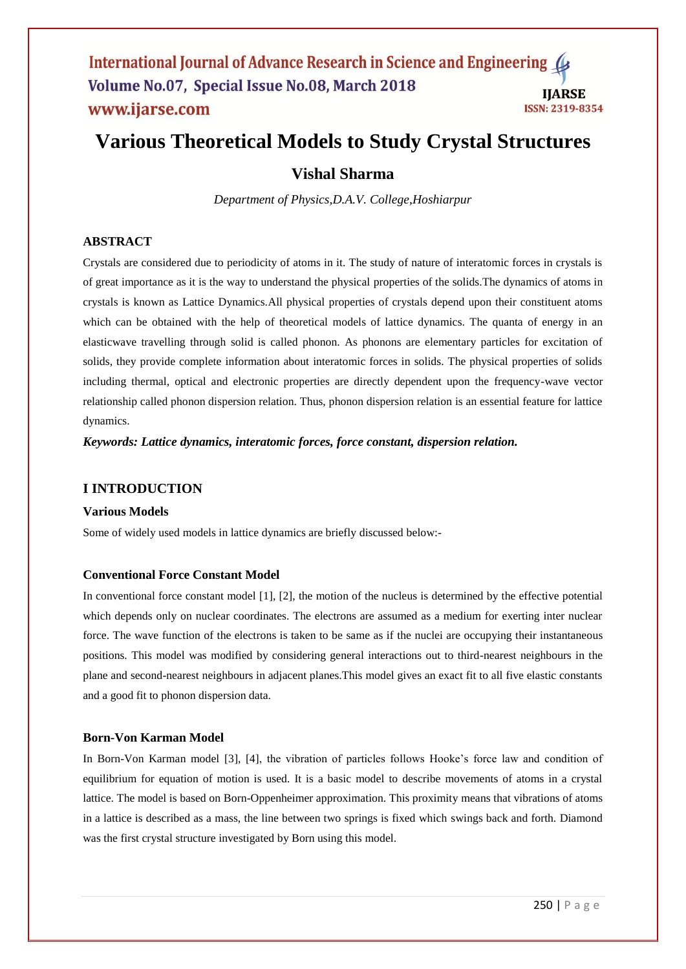# **Various Theoretical Models to Study Crystal Structures**

# **Vishal Sharma**

*Department of Physics,D.A.V. College,Hoshiarpur*

# **ABSTRACT**

Crystals are considered due to periodicity of atoms in it. The study of nature of interatomic forces in crystals is of great importance as it is the way to understand the physical properties of the solids.The dynamics of atoms in crystals is known as Lattice Dynamics.All physical properties of crystals depend upon their constituent atoms which can be obtained with the help of theoretical models of lattice dynamics. The quanta of energy in an elasticwave travelling through solid is called phonon. As phonons are elementary particles for excitation of solids, they provide complete information about interatomic forces in solids. The physical properties of solids including thermal, optical and electronic properties are directly dependent upon the frequency-wave vector relationship called phonon dispersion relation. Thus, phonon dispersion relation is an essential feature for lattice dynamics.

*Keywords: Lattice dynamics, interatomic forces, force constant, dispersion relation.* 

# **I INTRODUCTION**

# **Various Models**

Some of widely used models in lattice dynamics are briefly discussed below:-

# **Conventional Force Constant Model**

In conventional force constant model [1], [2], the motion of the nucleus is determined by the effective potential which depends only on nuclear coordinates. The electrons are assumed as a medium for exerting inter nuclear force. The wave function of the electrons is taken to be same as if the nuclei are occupying their instantaneous positions. This model was modified by considering general interactions out to third-nearest neighbours in the plane and second-nearest neighbours in adjacent planes.This model gives an exact fit to all five elastic constants and a good fit to phonon dispersion data.

# **Born-Von Karman Model**

In Born-Von Karman model [3], [4], the vibration of particles follows Hooke's force law and condition of equilibrium for equation of motion is used. It is a basic model to describe movements of atoms in a crystal lattice. The model is based on Born-Oppenheimer approximation. This proximity means that vibrations of atoms in a lattice is described as a mass, the line between two springs is fixed which swings back and forth. Diamond was the first crystal structure investigated by Born using this model.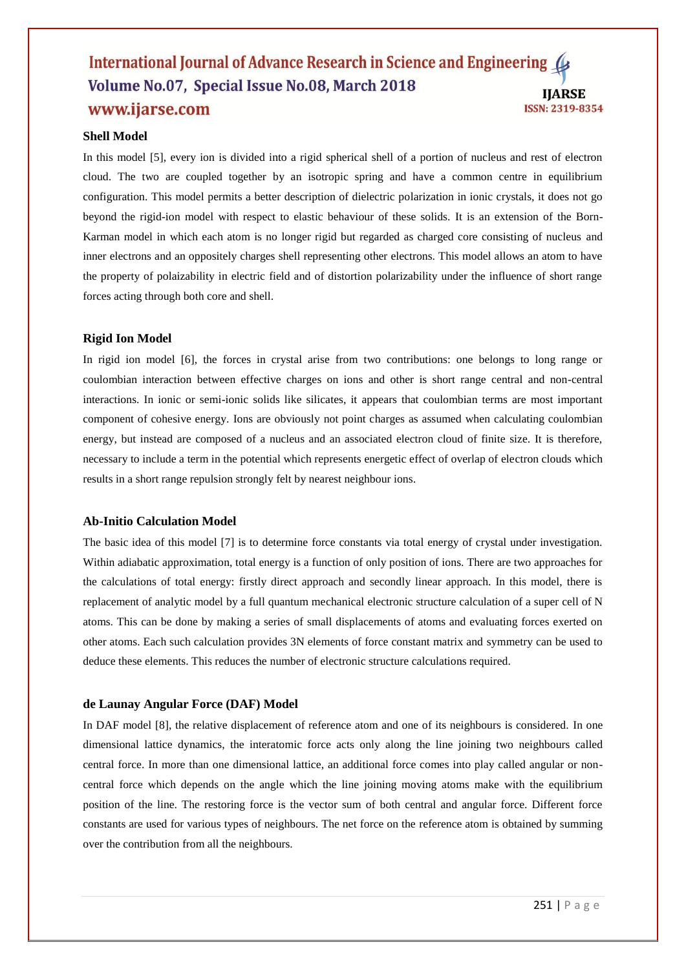#### International Journal of Advance Research in Science and Engineering Volume No.07, Special Issue No.08, March 2018 **IIARSE** www.ijarse.com ISSN: 2319-8354

#### **Shell Model**

In this model [5], every ion is divided into a rigid spherical shell of a portion of nucleus and rest of electron cloud. The two are coupled together by an isotropic spring and have a common centre in equilibrium configuration. This model permits a better description of dielectric polarization in ionic crystals, it does not go beyond the rigid-ion model with respect to elastic behaviour of these solids. It is an extension of the Born-Karman model in which each atom is no longer rigid but regarded as charged core consisting of nucleus and inner electrons and an oppositely charges shell representing other electrons. This model allows an atom to have the property of polaizability in electric field and of distortion polarizability under the influence of short range forces acting through both core and shell.

#### **Rigid Ion Model**

In rigid ion model [6], the forces in crystal arise from two contributions: one belongs to long range or coulombian interaction between effective charges on ions and other is short range central and non-central interactions. In ionic or semi-ionic solids like silicates, it appears that coulombian terms are most important component of cohesive energy. Ions are obviously not point charges as assumed when calculating coulombian energy, but instead are composed of a nucleus and an associated electron cloud of finite size. It is therefore, necessary to include a term in the potential which represents energetic effect of overlap of electron clouds which results in a short range repulsion strongly felt by nearest neighbour ions.

#### **Ab-Initio Calculation Model**

The basic idea of this model [7] is to determine force constants via total energy of crystal under investigation. Within adiabatic approximation, total energy is a function of only position of ions. There are two approaches for the calculations of total energy: firstly direct approach and secondly linear approach. In this model, there is replacement of analytic model by a full quantum mechanical electronic structure calculation of a super cell of N atoms. This can be done by making a series of small displacements of atoms and evaluating forces exerted on other atoms. Each such calculation provides 3N elements of force constant matrix and symmetry can be used to deduce these elements. This reduces the number of electronic structure calculations required.

#### **de Launay Angular Force (DAF) Model**

In DAF model [8], the relative displacement of reference atom and one of its neighbours is considered. In one dimensional lattice dynamics, the interatomic force acts only along the line joining two neighbours called central force. In more than one dimensional lattice, an additional force comes into play called angular or noncentral force which depends on the angle which the line joining moving atoms make with the equilibrium position of the line. The restoring force is the vector sum of both central and angular force. Different force constants are used for various types of neighbours. The net force on the reference atom is obtained by summing over the contribution from all the neighbours.